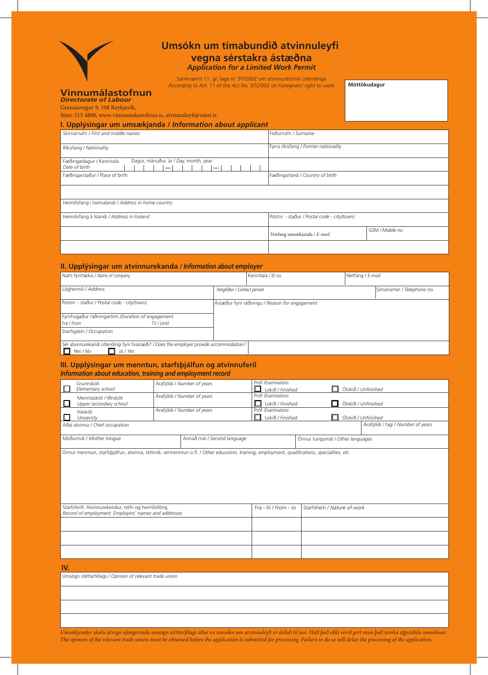

## **Umsókn um tímabundið atvinnuleyfi vegna sérstakra ástæðna** *Application for a Limited Work Permit*

Samkvæmt 11. gr. laga nr. 97/2002 um atvinnuréttindi útlendinga *According to Art. 11 of the Act No. 97/2002 on Foreigners' right to work*

**Móttökudagur**

# **Vinnumálastofnun** *Directorate of Labour*

Grensásvegur 9, 108 Reykjavík,

Sími: 515 4800, www.vinnumalastofnun.is, atvinnuleyfi@vmst.is **I. Upplýsingar um umsækjanda /** *Information about applicant*

| Skirnarnafn / First and middle names                                                                     | Föðurnafn / Surname                         |                  |
|----------------------------------------------------------------------------------------------------------|---------------------------------------------|------------------|
| Ríkisfang / Nationality                                                                                  | Fyrra ríkisfang / Former nationality        |                  |
| Dagur, mánuður, ár / Day, month, year<br>Fæðingardagur / Kennitala<br>Date of birth<br>$\hspace{0.05cm}$ |                                             |                  |
| Fæðingarstaður / Place of birth                                                                          | Fæðingarland / Country of birth             |                  |
|                                                                                                          |                                             |                  |
| Heimilisfang í heimalandi / Address in home country                                                      |                                             |                  |
| Heimilisfang á Íslandi / Address in Iceland                                                              | Póstnr. - staður / Postal code - city(town) |                  |
|                                                                                                          | Netfang umsækjanda / E-mail                 | GSM / Mobile no. |
|                                                                                                          |                                             |                  |

## **II. Upplýsingar um atvinnurekanda /** *Information about employer*

| Nafn fyrirtækis / Name of company                                                       |                                                | Kennitala / ID no. | Netfang / E-mail |                           |
|-----------------------------------------------------------------------------------------|------------------------------------------------|--------------------|------------------|---------------------------|
|                                                                                         |                                                |                    |                  |                           |
| Lögheimili / Address                                                                    | Tengiliður / Contact person                    |                    |                  | Símanúmer / Telephone no. |
|                                                                                         |                                                |                    |                  |                           |
| Póstnr. - staður / Postal code - city(town)                                             | Ástæður fyrir ráðningu / Reason for engagement |                    |                  |                           |
|                                                                                         |                                                |                    |                  |                           |
| Fyrirhugaður ráðningartími /Duration of engagement                                      |                                                |                    |                  |                           |
| Frá / From<br>Til / Until                                                               |                                                |                    |                  |                           |
| Starfsgrein / Occupation                                                                |                                                |                    |                  |                           |
|                                                                                         |                                                |                    |                  |                           |
| Sér atvinnurekandi útlendingi fyrir húsnæði? / Does the employer provide accommodation? |                                                |                    |                  |                           |
| Nei / No<br>Já / Yes                                                                    |                                                |                    |                  |                           |

### **III. Upplýsingar um menntun, starfsþjálfun og atvinnuferil** *Information about education, training and employment record*

| Grunnskóli<br>Elementary school                  | Árafjöldi / Number of years | Próf /Examinations<br>Lokið / Finished |                                  | Ólokið / Unfinished                |
|--------------------------------------------------|-----------------------------|----------------------------------------|----------------------------------|------------------------------------|
| Menntaskóli / Iðnskóli<br>Upper secondary school | Árafjöldi / Number of years | Próf /Examinations<br>Lokið / Finished |                                  | $\Box$ Ólokið / Unfinished         |
| Háskóli<br>University                            | Árafjöldi / Number of years | Próf /Examinations<br>Lokið / Finished |                                  | Ólokið / Unfinished                |
| Aðal atvinna / Chief occupation                  |                             |                                        |                                  | Árafjöldi í fagi / Number of years |
| Móðurmál / Mother tonque                         | Annað mál / Second language |                                        | Önnur tungumál / Other languages |                                    |

Önnur menntun, starfsþjálfun, atvinna, réttindi, sérmenntun o.fl. */ Other education, training, employment, qualifications, specialities, etc.*

| Starfsferill: Atvinnurekendur, nöfn og heimilisföng<br>Record of employment: Employers' names and addresses | Frá - til / From - to Starfsheiti / Nature of work |
|-------------------------------------------------------------------------------------------------------------|----------------------------------------------------|
|                                                                                                             |                                                    |
|                                                                                                             |                                                    |
|                                                                                                             |                                                    |

#### **IV.**

Umsögn stéttarfélags */ Opinion of relevant trade union*

*Umsækjendur skulu útvega ofangreinda umsögn stéttarfélags áður en umsókn um atvinnuleyfi er skilað til inn. Hafi það ekki verið gert mun það seinka afgreiðslu umsóknar. The opinion of the relevant trade union must be obtained before the application is submitted for processing. Failure to do so will delay the processing of the application.*